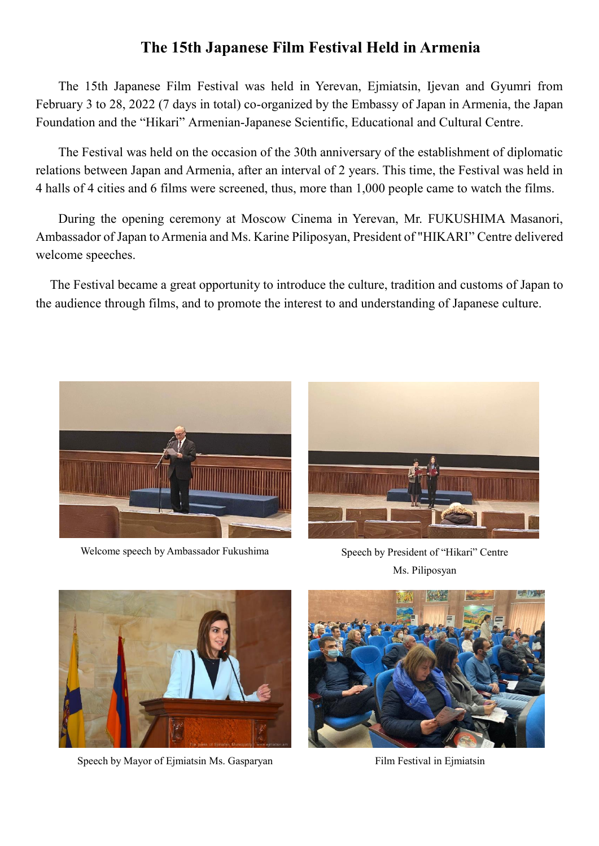## **The 15th Japanese Film Festival Held in Armenia**

The 15th Japanese Film Festival was held in Yerevan, Ejmiatsin, Ijevan and Gyumri from February 3 to 28, 2022 (7 days in total) co-organized by the Embassy of Japan in Armenia, the Japan Foundation and the "Hikari" Armenian-Japanese Scientific, Educational and Cultural Centre.

The Festival was held on the occasion of the 30th anniversary of the establishment of diplomatic relations between Japan and Armenia, after an interval of 2 years. This time, the Festival was held in 4 halls of 4 cities and 6 films were screened, thus, more than 1,000 people came to watch the films.

During the opening ceremony at Moscow Cinema in Yerevan, Mr. FUKUSHIMA Masanori, Ambassador of Japan to Armenia and Ms. Karine Piliposyan, President of "HIKARI" Centre delivered welcome speeches.

The Festival became a great opportunity to introduce the culture, tradition and customs of Japan to the audience through films, and to promote the interest to and understanding of Japanese culture.



Welcome speech by Ambassador Fukushima Speech by President of "Hikari" Centre



Ms. Piliposyan



Speech by Mayor of Ejmiatsin Ms. Gasparyan Film Festival in Ejmiatsin